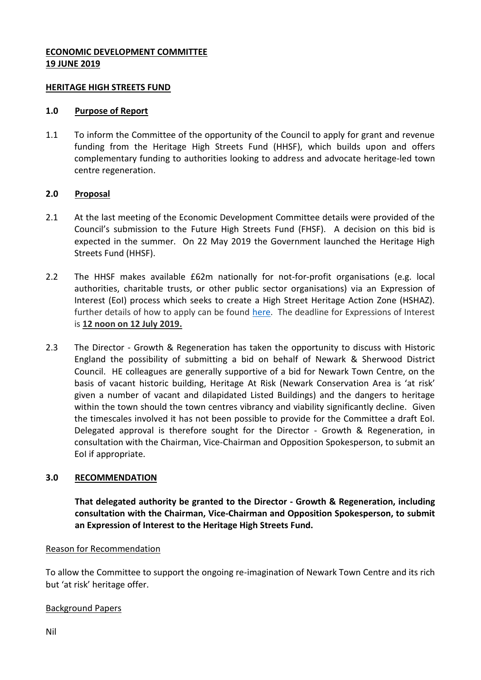# **ECONOMIC DEVELOPMENT COMMITTEE 19 JUNE 2019**

### **HERITAGE HIGH STREETS FUND**

### **1.0 Purpose of Report**

1.1 To inform the Committee of the opportunity of the Council to apply for grant and revenue funding from the Heritage High Streets Fund (HHSF), which builds upon and offers complementary funding to authorities looking to address and advocate heritage-led town centre regeneration.

## **2.0 Proposal**

- 2.1 At the last meeting of the Economic Development Committee details were provided of the Council's submission to the Future High Streets Fund (FHSF). A decision on this bid is expected in the summer. On 22 May 2019 the Government launched the Heritage High Streets Fund (HHSF).
- 2.2 The HHSF makes available £62m nationally for not-for-profit organisations (e.g. local authorities, charitable trusts, or other public sector organisations) via an Expression of Interest (EoI) process which seeks to create a High Street Heritage Action Zone (HSHAZ). further details of how to apply can be found [here.](https://eur02.safelinks.protection.outlook.com/?url=https%3A%2F%2Fhistoricengland.org.uk%2Fservices-skills%2Fheritage-action-zones%2Fregenerating-historic-high-streets%2F%23apply&data=02%7C01%7CDavid.Wright%40beis.gov.uk%7Cbf61ce1e3b0a42bf5e8808d6dd532df6%7Ccbac700502c143ebb497e6492d1b2dd8%7C0%7C0%7C636939746651389252&sdata=rRMI97UHMFWXayHKoBQ%2BKqsxAOvHuBDLYtQjlAXoPgA%3D&reserved=0) The deadline for Expressions of Interest is **12 noon on 12 July 2019.**
- 2.3 The Director Growth & Regeneration has taken the opportunity to discuss with Historic England the possibility of submitting a bid on behalf of Newark & Sherwood District Council. HE colleagues are generally supportive of a bid for Newark Town Centre, on the basis of vacant historic building, Heritage At Risk (Newark Conservation Area is 'at risk' given a number of vacant and dilapidated Listed Buildings) and the dangers to heritage within the town should the town centres vibrancy and viability significantly decline. Given the timescales involved it has not been possible to provide for the Committee a draft EoI. Delegated approval is therefore sought for the Director - Growth & Regeneration, in consultation with the Chairman, Vice-Chairman and Opposition Spokesperson, to submit an EoI if appropriate.

# **3.0 RECOMMENDATION**

**That delegated authority be granted to the Director - Growth & Regeneration, including consultation with the Chairman, Vice-Chairman and Opposition Spokesperson, to submit an Expression of Interest to the Heritage High Streets Fund.** 

#### Reason for Recommendation

To allow the Committee to support the ongoing re-imagination of Newark Town Centre and its rich but 'at risk' heritage offer.

#### Background Papers